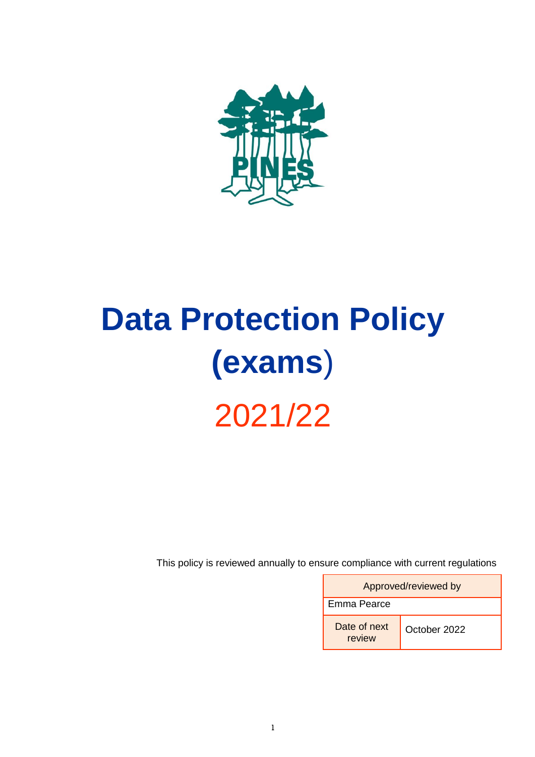

# **Data Protection Policy (exams**) 2021/22

This policy is reviewed annually to ensure compliance with current regulations

| Approved/reviewed by   |              |  |
|------------------------|--------------|--|
| Emma Pearce            |              |  |
| Date of next<br>review | October 2022 |  |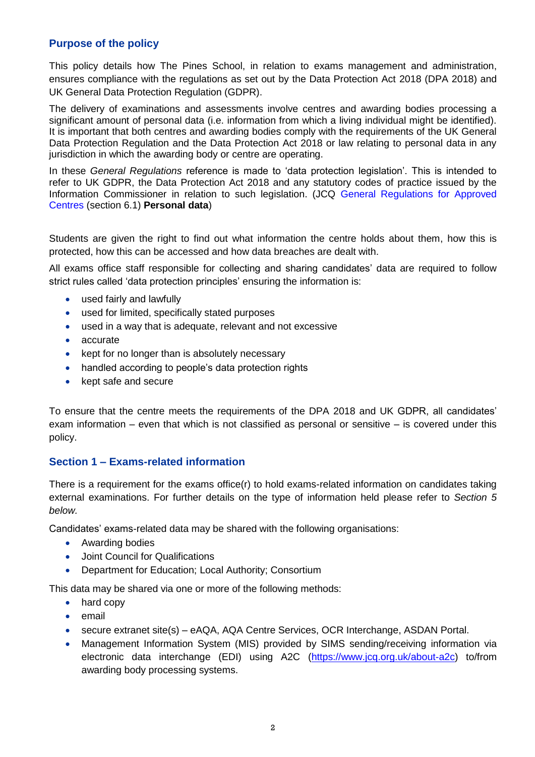# **Purpose of the policy**

This policy details how The Pines School, in relation to exams management and administration, ensures compliance with the regulations as set out by the Data Protection Act 2018 (DPA 2018) and UK General Data Protection Regulation (GDPR).

The delivery of examinations and assessments involve centres and awarding bodies processing a significant amount of personal data (i.e. information from which a living individual might be identified). It is important that both centres and awarding bodies comply with the requirements of the UK General Data Protection Regulation and the Data Protection Act 2018 or law relating to personal data in any jurisdiction in which the awarding body or centre are operating.

In these *General Regulations* reference is made to 'data protection legislation'. This is intended to refer to UK GDPR, the Data Protection Act 2018 and any statutory codes of practice issued by the Information Commissioner in relation to such legislation. (JCQ [General Regulations for Approved](https://www.jcq.org.uk/exams-office/general-regulations/)  [Centres](https://www.jcq.org.uk/exams-office/general-regulations/) (section 6.1) **Personal data**)

Students are given the right to find out what information the centre holds about them, how this is protected, how this can be accessed and how data breaches are dealt with.

All exams office staff responsible for collecting and sharing candidates' data are required to follow strict rules called 'data protection principles' ensuring the information is:

- used fairly and lawfully
- used for limited, specifically stated purposes
- used in a way that is adequate, relevant and not excessive
- accurate
- kept for no longer than is absolutely necessary
- handled according to people's data protection rights
- kept safe and secure

To ensure that the centre meets the requirements of the DPA 2018 and UK GDPR, all candidates' exam information – even that which is not classified as personal or sensitive – is covered under this policy.

# **Section 1 – Exams-related information**

There is a requirement for the exams office(r) to hold exams-related information on candidates taking external examinations. For further details on the type of information held please refer to *Section 5 below.* 

Candidates' exams-related data may be shared with the following organisations:

- Awarding bodies
- Joint Council for Qualifications
- Department for Education; Local Authority; Consortium

This data may be shared via one or more of the following methods:

- hard copy
- email
- secure extranet site(s) eAQA, AQA Centre Services, OCR Interchange, ASDAN Portal.
- Management Information System (MIS) provided by SIMS sending/receiving information via electronic data interchange (EDI) using A2C [\(https://www.jcq.org.uk/about-a2c\)](https://www.jcq.org.uk/about-a2c) to/from awarding body processing systems.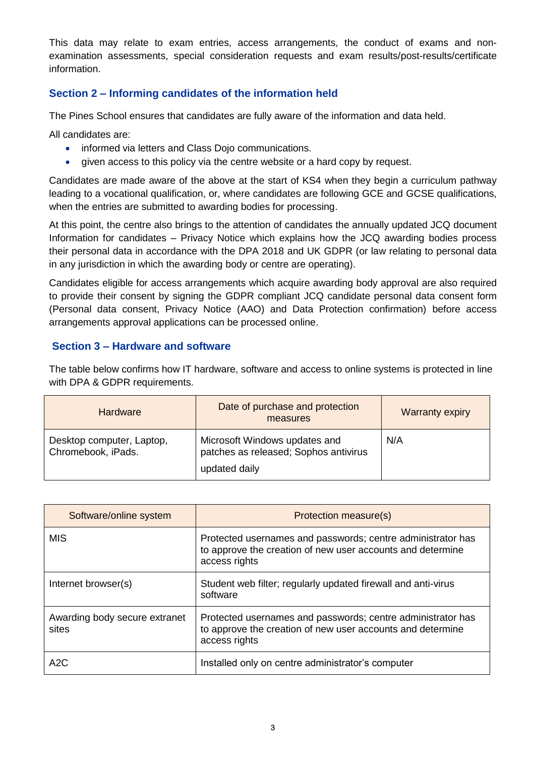This data may relate to exam entries, access arrangements, the conduct of exams and nonexamination assessments, special consideration requests and exam results/post-results/certificate information.

# **Section 2 – Informing candidates of the information held**

The Pines School ensures that candidates are fully aware of the information and data held.

All candidates are:

- informed via letters and Class Dojo communications.
- given access to this policy via the centre website or a hard copy by request.

Candidates are made aware of the above at the start of KS4 when they begin a curriculum pathway leading to a vocational qualification, or, where candidates are following GCE and GCSE qualifications, when the entries are submitted to awarding bodies for processing.

At this point, the centre also brings to the attention of candidates the annually updated JCQ document Information for candidates – Privacy Notice which explains how the JCQ awarding bodies process their personal data in accordance with the DPA 2018 and UK GDPR (or law relating to personal data in any jurisdiction in which the awarding body or centre are operating).

Candidates eligible for access arrangements which acquire awarding body approval are also required to provide their consent by signing the GDPR compliant JCQ candidate personal data consent form (Personal data consent, Privacy Notice (AAO) and Data Protection confirmation) before access arrangements approval applications can be processed online.

# **Section 3 – Hardware and software**

The table below confirms how IT hardware, software and access to online systems is protected in line with DPA & GDPR requirements.

| <b>Hardware</b>                                 | Date of purchase and protection<br>measures                                             | <b>Warranty expiry</b> |
|-------------------------------------------------|-----------------------------------------------------------------------------------------|------------------------|
| Desktop computer, Laptop,<br>Chromebook, iPads. | Microsoft Windows updates and<br>patches as released; Sophos antivirus<br>updated daily | N/A                    |

| Software/online system                 | Protection measure(s)                                                                                                                      |
|----------------------------------------|--------------------------------------------------------------------------------------------------------------------------------------------|
| <b>MIS</b>                             | Protected usernames and passwords; centre administrator has<br>to approve the creation of new user accounts and determine<br>access rights |
| Internet browser(s)                    | Student web filter; regularly updated firewall and anti-virus<br>software                                                                  |
| Awarding body secure extranet<br>sites | Protected usernames and passwords; centre administrator has<br>to approve the creation of new user accounts and determine<br>access rights |
| A2C                                    | Installed only on centre administrator's computer                                                                                          |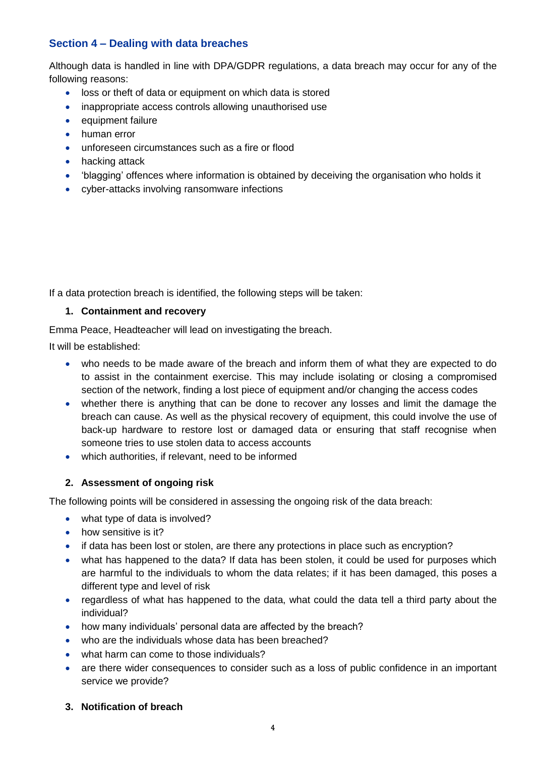# **Section 4 – Dealing with data breaches**

Although data is handled in line with DPA/GDPR regulations, a data breach may occur for any of the following reasons:

- loss or theft of data or equipment on which data is stored
- inappropriate access controls allowing unauthorised use
- equipment failure
- human error
- unforeseen circumstances such as a fire or flood
- hacking attack
- 'blagging' offences where information is obtained by deceiving the organisation who holds it
- cyber-attacks involving ransomware infections

If a data protection breach is identified, the following steps will be taken:

## **1. Containment and recovery**

Emma Peace, Headteacher will lead on investigating the breach.

It will be established:

- who needs to be made aware of the breach and inform them of what they are expected to do to assist in the containment exercise. This may include isolating or closing a compromised section of the network, finding a lost piece of equipment and/or changing the access codes
- whether there is anything that can be done to recover any losses and limit the damage the breach can cause. As well as the physical recovery of equipment, this could involve the use of back-up hardware to restore lost or damaged data or ensuring that staff recognise when someone tries to use stolen data to access accounts
- which authorities, if relevant, need to be informed

## **2. Assessment of ongoing risk**

The following points will be considered in assessing the ongoing risk of the data breach:

- what type of data is involved?
- how sensitive is it?
- if data has been lost or stolen, are there any protections in place such as encryption?
- what has happened to the data? If data has been stolen, it could be used for purposes which are harmful to the individuals to whom the data relates; if it has been damaged, this poses a different type and level of risk
- regardless of what has happened to the data, what could the data tell a third party about the individual?
- how many individuals' personal data are affected by the breach?
- who are the individuals whose data has been breached?
- what harm can come to those individuals?
- are there wider consequences to consider such as a loss of public confidence in an important service we provide?
- **3. Notification of breach**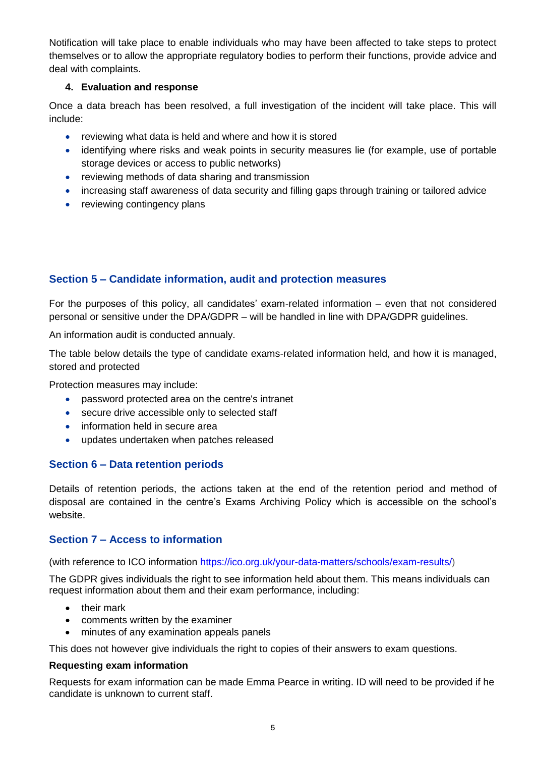Notification will take place to enable individuals who may have been affected to take steps to protect themselves or to allow the appropriate regulatory bodies to perform their functions, provide advice and deal with complaints.

## **4. Evaluation and response**

Once a data breach has been resolved, a full investigation of the incident will take place. This will include:

- reviewing what data is held and where and how it is stored
- identifying where risks and weak points in security measures lie (for example, use of portable storage devices or access to public networks)
- reviewing methods of data sharing and transmission
- increasing staff awareness of data security and filling gaps through training or tailored advice
- reviewing contingency plans

# **Section 5 – Candidate information, audit and protection measures**

For the purposes of this policy, all candidates' exam-related information – even that not considered personal or sensitive under the DPA/GDPR – will be handled in line with DPA/GDPR guidelines.

An information audit is conducted annualy.

The table below details the type of candidate exams-related information held, and how it is managed, stored and protected

Protection measures may include:

- password protected area on the centre's intranet
- secure drive accessible only to selected staff
- information held in secure area
- updates undertaken when patches released

## **Section 6 – Data retention periods**

Details of retention periods, the actions taken at the end of the retention period and method of disposal are contained in the centre's Exams Archiving Policy which is accessible on the school's website.

## **Section 7 – Access to information**

(with reference to ICO information [https://ico.org.uk/your-data-matters/schools/exam-results/\)](https://ico.org.uk/your-data-matters/schools/exam-results/)

The GDPR gives individuals the right to see information held about them. This means individuals can request information about them and their exam performance, including:

- their mark
- comments written by the examiner
- minutes of any examination appeals panels

This does not however give individuals the right to copies of their answers to exam questions.

#### **Requesting exam information**

Requests for exam information can be made Emma Pearce in writing. ID will need to be provided if he candidate is unknown to current staff.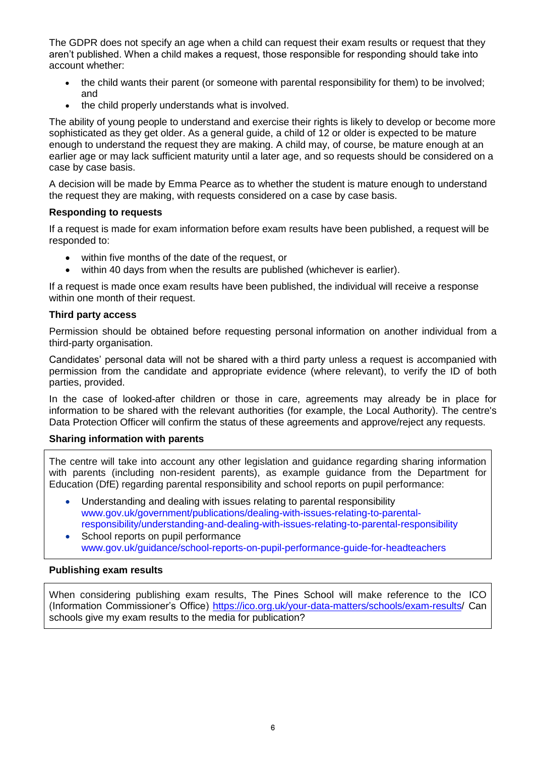The GDPR does not specify an age when a child can request their exam results or request that they aren't published. When a child makes a request, those responsible for responding should take into account whether:

- the child wants their parent (or someone with parental responsibility for them) to be involved; and
- the child properly understands what is involved.

The ability of young people to understand and exercise their rights is likely to develop or become more sophisticated as they get older. As a general guide, a child of 12 or older is expected to be mature enough to understand the request they are making. A child may, of course, be mature enough at an earlier age or may lack sufficient maturity until a later age, and so requests should be considered on a case by case basis.

A decision will be made by Emma Pearce as to whether the student is mature enough to understand the request they are making, with requests considered on a case by case basis.

## **Responding to requests**

If a request is made for exam information before exam results have been published, a request will be responded to:

- within five months of the date of the request, or
- within 40 days from when the results are published (whichever is earlier).

If a request is made once exam results have been published, the individual will receive a response within one month of their request.

#### **Third party access**

Permission should be obtained before requesting personal information on another individual from a third-party organisation.

Candidates' personal data will not be shared with a third party unless a request is accompanied with permission from the candidate and appropriate evidence (where relevant), to verify the ID of both parties, provided.

In the case of looked-after children or those in care, agreements may already be in place for information to be shared with the relevant authorities (for example, the Local Authority). The centre's Data Protection Officer will confirm the status of these agreements and approve/reject any requests.

#### **Sharing information with parents**

The centre will take into account any other legislation and guidance regarding sharing information with parents (including non-resident parents), as example guidance from the Department for Education (DfE) regarding parental responsibility and school reports on pupil performance:

- Understanding and dealing with issues relating to parental responsibility [www.gov.uk/government/publications/dealing-with-issues-relating-to-parental](https://www.gov.uk/government/publications/dealing-with-issues-relating-to-parental-responsibility/understanding-and-dealing-with-issues-relating-to-parental-responsibility)[responsibility/understanding-and-dealing-with-issues-relating-to-parental-responsibility](https://www.gov.uk/government/publications/dealing-with-issues-relating-to-parental-responsibility/understanding-and-dealing-with-issues-relating-to-parental-responsibility)
- School reports on pupil performance [www.gov.uk/guidance/school-reports-on-pupil-performance-guide-for-headteachers](http://www.gov.uk/guidance/school-reports-on-pupil-performance-guide-for-headteachers)

## **Publishing exam results**

When considering publishing exam results, The Pines School will make reference to the ICO (Information Commissioner's Office) [https://ico.org.uk/your-data-matters/schools/exam-results/](https://ico.org.uk/your-data-matters/schools/exam-results) Can schools give my exam results to the media for publication?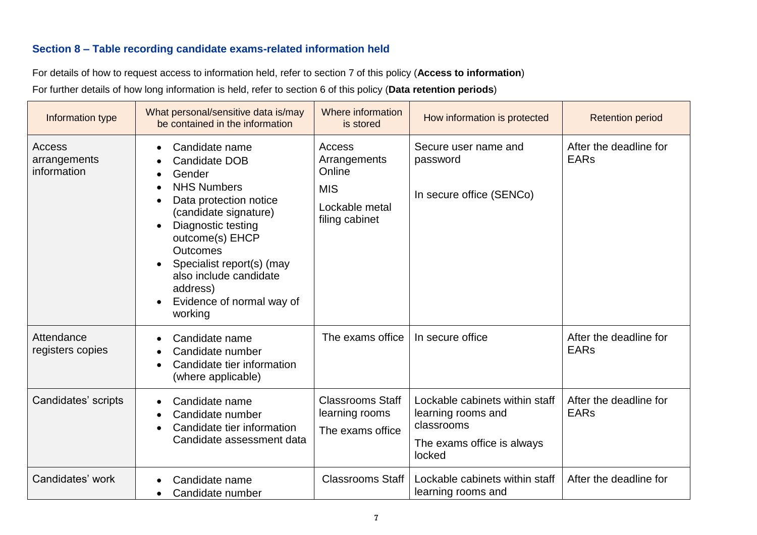# **Section 8 – Table recording candidate exams-related information held**

For details of how to request access to information held, refer to section 7 of this policy (**Access to information**) For further details of how long information is held, refer to section 6 of this policy (**Data retention periods**)

| Information type                      | What personal/sensitive data is/may<br>be contained in the information                                                                                                                                                                                                                                              | Where information<br>is stored                                                     | How information is protected                                                                               | <b>Retention period</b>               |
|---------------------------------------|---------------------------------------------------------------------------------------------------------------------------------------------------------------------------------------------------------------------------------------------------------------------------------------------------------------------|------------------------------------------------------------------------------------|------------------------------------------------------------------------------------------------------------|---------------------------------------|
| Access<br>arrangements<br>information | Candidate name<br>$\bullet$<br>Candidate DOB<br>Gender<br><b>NHS Numbers</b><br>Data protection notice<br>$\bullet$<br>(candidate signature)<br>Diagnostic testing<br>outcome(s) EHCP<br><b>Outcomes</b><br>Specialist report(s) (may<br>also include candidate<br>address)<br>Evidence of normal way of<br>working | Access<br>Arrangements<br>Online<br><b>MIS</b><br>Lockable metal<br>filing cabinet | Secure user name and<br>password<br>In secure office (SENCo)                                               | After the deadline for<br><b>EARs</b> |
| Attendance<br>registers copies        | Candidate name<br>$\bullet$<br>Candidate number<br>Candidate tier information<br>(where applicable)                                                                                                                                                                                                                 | The exams office                                                                   | In secure office                                                                                           | After the deadline for<br><b>EARs</b> |
| Candidates' scripts                   | Candidate name<br>$\bullet$<br>Candidate number<br>Candidate tier information<br>Candidate assessment data                                                                                                                                                                                                          | <b>Classrooms Staff</b><br>learning rooms<br>The exams office                      | Lockable cabinets within staff<br>learning rooms and<br>classrooms<br>The exams office is always<br>locked | After the deadline for<br><b>EARs</b> |
| Candidates' work                      | Candidate name<br>Candidate number                                                                                                                                                                                                                                                                                  | <b>Classrooms Staff</b>                                                            | Lockable cabinets within staff<br>learning rooms and                                                       | After the deadline for                |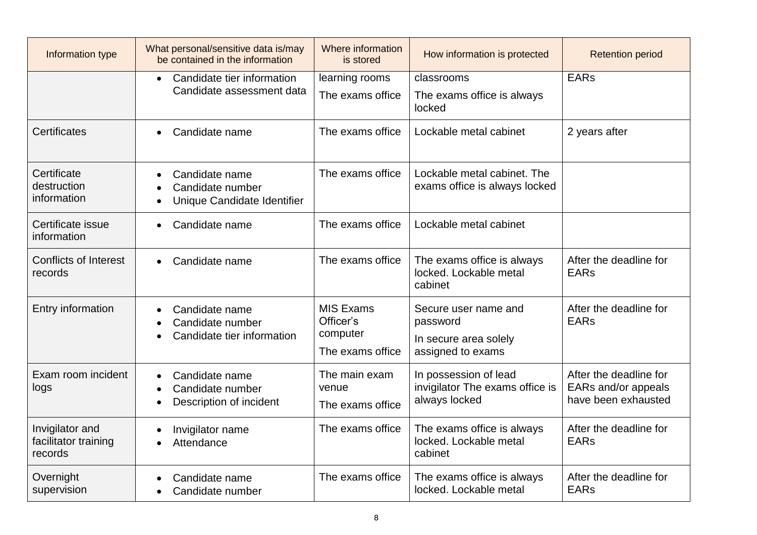| Information type                                   | What personal/sensitive data is/may<br>be contained in the information                                   | Where information<br>is stored                                | How information is protected                                                   | <b>Retention period</b>                                              |
|----------------------------------------------------|----------------------------------------------------------------------------------------------------------|---------------------------------------------------------------|--------------------------------------------------------------------------------|----------------------------------------------------------------------|
|                                                    | Candidate tier information<br>$\bullet$                                                                  | learning rooms                                                | classrooms                                                                     | <b>EARs</b>                                                          |
|                                                    | Candidate assessment data                                                                                | The exams office                                              | The exams office is always<br>locked                                           |                                                                      |
| <b>Certificates</b>                                | Candidate name<br>$\bullet$                                                                              | The exams office                                              | Lockable metal cabinet                                                         | 2 years after                                                        |
| Certificate<br>destruction<br>information          | Candidate name<br>$\bullet$<br>Candidate number<br>$\bullet$<br>Unique Candidate Identifier<br>$\bullet$ | The exams office                                              | Lockable metal cabinet. The<br>exams office is always locked                   |                                                                      |
| Certificate issue<br>information                   | Candidate name<br>$\bullet$                                                                              | The exams office                                              | Lockable metal cabinet                                                         |                                                                      |
| <b>Conflicts of Interest</b><br>records            | Candidate name<br>$\bullet$                                                                              | The exams office                                              | The exams office is always<br>locked. Lockable metal<br>cabinet                | After the deadline for<br><b>EARs</b>                                |
| Entry information                                  | Candidate name<br>$\bullet$<br>Candidate number<br>Candidate tier information                            | <b>MIS Exams</b><br>Officer's<br>computer<br>The exams office | Secure user name and<br>password<br>In secure area solely<br>assigned to exams | After the deadline for<br><b>EARs</b>                                |
| Exam room incident<br>logs                         | Candidate name<br>$\bullet$<br>Candidate number<br>$\bullet$<br>Description of incident                  | The main exam<br>venue<br>The exams office                    | In possession of lead<br>invigilator The exams office is<br>always locked      | After the deadline for<br>EARs and/or appeals<br>have been exhausted |
| Invigilator and<br>facilitator training<br>records | Invigilator name<br>Attendance<br>$\bullet$                                                              | The exams office                                              | The exams office is always<br>locked. Lockable metal<br>cabinet                | After the deadline for<br><b>EARs</b>                                |
| Overnight<br>supervision                           | Candidate name<br>Candidate number<br>$\bullet$                                                          | The exams office                                              | The exams office is always<br>locked. Lockable metal                           | After the deadline for<br><b>EARs</b>                                |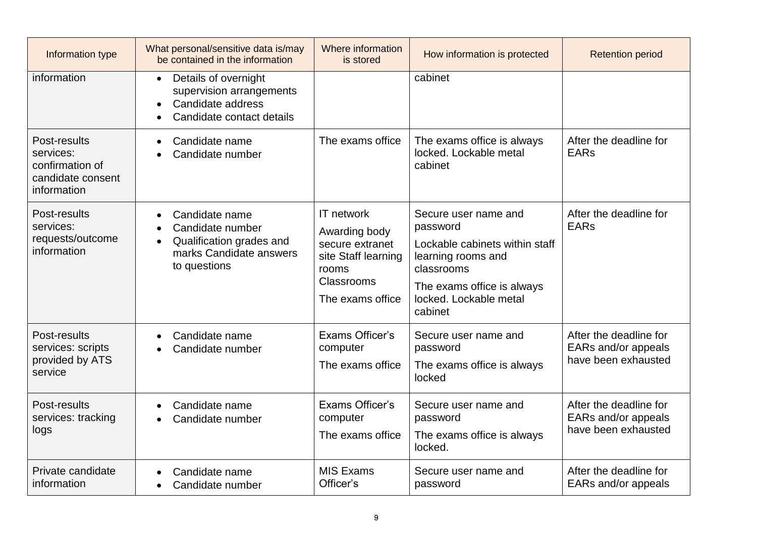| Information type                                                                 | What personal/sensitive data is/may<br>be contained in the information                                                              | Where information<br>is stored                                                                                   | How information is protected                                                                                                                                              | <b>Retention period</b>                                              |
|----------------------------------------------------------------------------------|-------------------------------------------------------------------------------------------------------------------------------------|------------------------------------------------------------------------------------------------------------------|---------------------------------------------------------------------------------------------------------------------------------------------------------------------------|----------------------------------------------------------------------|
| information                                                                      | Details of overnight<br>$\bullet$<br>supervision arrangements<br>Candidate address<br>Candidate contact details                     |                                                                                                                  | cabinet                                                                                                                                                                   |                                                                      |
| Post-results<br>services:<br>confirmation of<br>candidate consent<br>information | Candidate name<br>$\bullet$<br>Candidate number                                                                                     | The exams office                                                                                                 | The exams office is always<br>locked. Lockable metal<br>cabinet                                                                                                           | After the deadline for<br><b>EARs</b>                                |
| Post-results<br>services:<br>requests/outcome<br>information                     | Candidate name<br>$\bullet$<br>Candidate number<br>Qualification grades and<br>$\bullet$<br>marks Candidate answers<br>to questions | IT network<br>Awarding body<br>secure extranet<br>site Staff learning<br>rooms<br>Classrooms<br>The exams office | Secure user name and<br>password<br>Lockable cabinets within staff<br>learning rooms and<br>classrooms<br>The exams office is always<br>locked. Lockable metal<br>cabinet | After the deadline for<br><b>EARs</b>                                |
| Post-results<br>services: scripts<br>provided by ATS<br>service                  | Candidate name<br>$\bullet$<br>Candidate number                                                                                     | <b>Exams Officer's</b><br>computer<br>The exams office                                                           | Secure user name and<br>password<br>The exams office is always<br>locked                                                                                                  | After the deadline for<br>EARs and/or appeals<br>have been exhausted |
| Post-results<br>services: tracking<br>logs                                       | Candidate name<br>$\bullet$<br>Candidate number<br>$\bullet$                                                                        | Exams Officer's<br>computer<br>The exams office                                                                  | Secure user name and<br>password<br>The exams office is always<br>locked.                                                                                                 | After the deadline for<br>EARs and/or appeals<br>have been exhausted |
| Private candidate<br>information                                                 | Candidate name<br>Candidate number<br>$\bullet$                                                                                     | <b>MIS Exams</b><br>Officer's                                                                                    | Secure user name and<br>password                                                                                                                                          | After the deadline for<br>EARs and/or appeals                        |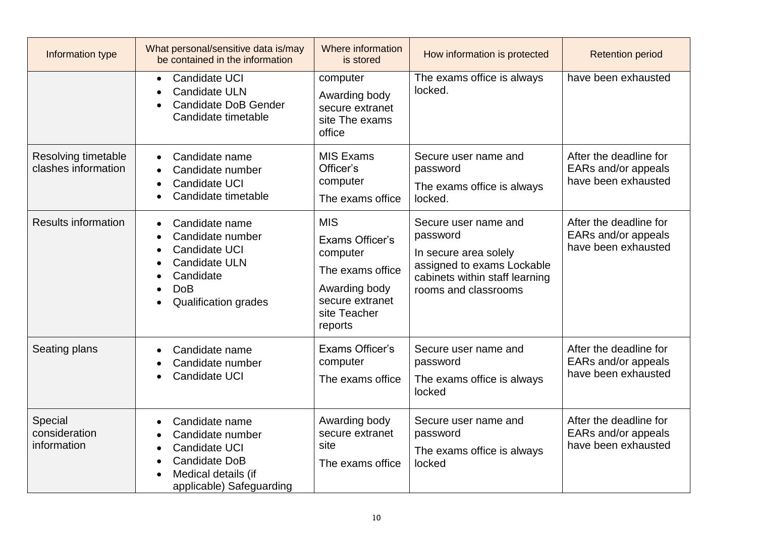| Information type                           | What personal/sensitive data is/may<br>be contained in the information                                                                                          | Where information<br>is stored                                                                                               | How information is protected                                                                                                                      | <b>Retention period</b>                                              |
|--------------------------------------------|-----------------------------------------------------------------------------------------------------------------------------------------------------------------|------------------------------------------------------------------------------------------------------------------------------|---------------------------------------------------------------------------------------------------------------------------------------------------|----------------------------------------------------------------------|
|                                            | Candidate UCI<br>$\bullet$<br><b>Candidate ULN</b><br><b>Candidate DoB Gender</b><br>Candidate timetable                                                        | computer<br>Awarding body<br>secure extranet<br>site The exams<br>office                                                     | The exams office is always<br>locked.                                                                                                             | have been exhausted                                                  |
| Resolving timetable<br>clashes information | Candidate name<br>$\bullet$<br>Candidate number<br>$\bullet$<br>Candidate UCI<br>Candidate timetable                                                            | <b>MIS Exams</b><br>Officer's<br>computer<br>The exams office                                                                | Secure user name and<br>password<br>The exams office is always<br>locked.                                                                         | After the deadline for<br>EARs and/or appeals<br>have been exhausted |
| <b>Results information</b>                 | Candidate name<br>$\bullet$<br>Candidate number<br>Candidate UCI<br>$\bullet$<br><b>Candidate ULN</b><br>Candidate<br><b>DoB</b><br><b>Qualification grades</b> | <b>MIS</b><br>Exams Officer's<br>computer<br>The exams office<br>Awarding body<br>secure extranet<br>site Teacher<br>reports | Secure user name and<br>password<br>In secure area solely<br>assigned to exams Lockable<br>cabinets within staff learning<br>rooms and classrooms | After the deadline for<br>EARs and/or appeals<br>have been exhausted |
| Seating plans                              | Candidate name<br>Candidate number<br>Candidate UCI                                                                                                             | Exams Officer's<br>computer<br>The exams office                                                                              | Secure user name and<br>password<br>The exams office is always<br>locked                                                                          | After the deadline for<br>EARs and/or appeals<br>have been exhausted |
| Special<br>consideration<br>information    | Candidate name<br>Candidate number<br>Candidate UCI<br>$\bullet$<br><b>Candidate DoB</b><br>Medical details (if<br>applicable) Safeguarding                     | Awarding body<br>secure extranet<br>site<br>The exams office                                                                 | Secure user name and<br>password<br>The exams office is always<br>locked                                                                          | After the deadline for<br>EARs and/or appeals<br>have been exhausted |